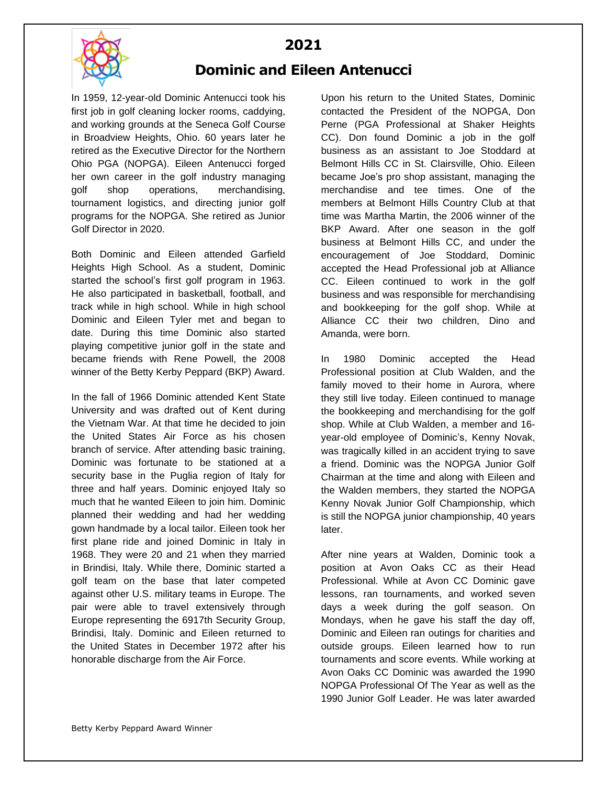**2021 Dominic and Eileen Antenucci**



## In 1959, 12-year-old Dominic Antenucci took his first job in golf cleaning locker rooms, caddying, and working grounds at the Seneca Golf Course in Broadview Heights, Ohio. 60 years later he retired as the Executive Director for the Northern Ohio PGA (NOPGA). Eileen Antenucci forged her own career in the golf industry managing golf shop operations, merchandising, tournament logistics, and directing junior golf programs for the NOPGA. She retired as Junior Golf Director in 2020.

Both Dominic and Eileen attended Garfield Heights High School. As a student, Dominic started the school's first golf program in 1963. He also participated in basketball, football, and track while in high school. While in high school Dominic and Eileen Tyler met and began to date. During this time Dominic also started playing competitive junior golf in the state and became friends with Rene Powell, the 2008 winner of the Betty Kerby Peppard (BKP) Award.

In the fall of 1966 Dominic attended Kent State University and was drafted out of Kent during the Vietnam War. At that time he decided to join the United States Air Force as his chosen branch of service. After attending basic training, Dominic was fortunate to be stationed at a security base in the Puglia region of Italy for three and half years. Dominic enjoyed Italy so much that he wanted Eileen to join him. Dominic planned their wedding and had her wedding gown handmade by a local tailor. Eileen took her first plane ride and joined Dominic in Italy in 1968. They were 20 and 21 when they married in Brindisi, Italy. While there, Dominic started a golf team on the base that later competed against other U.S. military teams in Europe. The pair were able to travel extensively through Europe representing the 6917th Security Group, Brindisi, Italy. Dominic and Eileen returned to the United States in December 1972 after his honorable discharge from the Air Force.

Upon his return to the United States, Dominic contacted the President of the NOPGA, Don Perne (PGA Professional at Shaker Heights CC). Don found Dominic a job in the golf business as an assistant to Joe Stoddard at Belmont Hills CC in St. Clairsville, Ohio. Eileen became Joe's pro shop assistant, managing the merchandise and tee times. One of the members at Belmont Hills Country Club at that time was Martha Martin, the 2006 winner of the BKP Award. After one season in the golf business at Belmont Hills CC, and under the encouragement of Joe Stoddard, Dominic accepted the Head Professional job at Alliance CC. Eileen continued to work in the golf business and was responsible for merchandising and bookkeeping for the golf shop. While at Alliance CC their two children, Dino and Amanda, were born.

In 1980 Dominic accepted the Head Professional position at Club Walden, and the family moved to their home in Aurora, where they still live today. Eileen continued to manage the bookkeeping and merchandising for the golf shop. While at Club Walden, a member and 16 year-old employee of Dominic's, Kenny Novak, was tragically killed in an accident trying to save a friend. Dominic was the NOPGA Junior Golf Chairman at the time and along with Eileen and the Walden members, they started the NOPGA Kenny Novak Junior Golf Championship, which is still the NOPGA junior championship, 40 years later.

After nine years at Walden, Dominic took a position at Avon Oaks CC as their Head Professional. While at Avon CC Dominic gave lessons, ran tournaments, and worked seven days a week during the golf season. On Mondays, when he gave his staff the day off, Dominic and Eileen ran outings for charities and outside groups. Eileen learned how to run tournaments and score events. While working at Avon Oaks CC Dominic was awarded the 1990 NOPGA Professional Of The Year as well as the 1990 Junior Golf Leader. He was later awarded